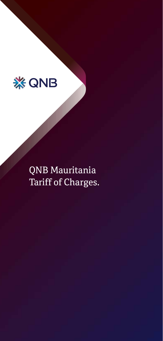

QNB Mauritania Tariff of Charges.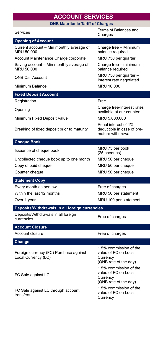## **ACCOUNT SERVICES**

**QNB Mauritanie Tariff of Charges**

| Services                                                      | Terms of Balances and<br>Charges                                                    |  |
|---------------------------------------------------------------|-------------------------------------------------------------------------------------|--|
| <b>Opening of Account</b>                                     |                                                                                     |  |
| Current account - Min monthly average of<br>MRU 50,000        | Charge free - Minimum<br>balance required                                           |  |
| Account Maintenance Charge corporate                          | MRU 750 per quarter                                                                 |  |
| Saving account - Min monthly average of<br>MRU 50,000         | Charge free - minimum<br>balance required                                           |  |
| <b>QNB Call Account</b>                                       | MRU 750 per quarter -<br>Interest rate negotiated                                   |  |
| Minimum Balance                                               | MRU 10,000                                                                          |  |
| <b>Fixed Deposit Account</b>                                  |                                                                                     |  |
| Registration                                                  | Free                                                                                |  |
| Opening                                                       | Charge free-Interest rates<br>available at our counter                              |  |
| Minimum Fixed Deposit Value                                   | MRU 5,000,000                                                                       |  |
| Breaking of fixed deposit prior to maturity                   | Penal interest of 1%<br>deductible in case of pre-<br>mature withdrawal             |  |
| <b>Cheque Book</b>                                            |                                                                                     |  |
| Issuance of cheque book                                       | MRU 75 per book<br>(25 cheques)                                                     |  |
| Uncollected cheque book up to one month                       | MRU 50 per cheque                                                                   |  |
| Copy of paid cheque                                           | MRU 50 per cheque                                                                   |  |
| Counter cheque                                                | MRU 50 per cheque                                                                   |  |
| <b>Statement Copy</b>                                         |                                                                                     |  |
| Every month as per law                                        | Free of charges                                                                     |  |
| Within the last 12 months                                     | MRU 50 per statement                                                                |  |
| Over 1 year                                                   | MRU 100 per statement                                                               |  |
| Deposits/Withdrawals in all foreign currencies                |                                                                                     |  |
| Deposits/Withdrawals in all foreign<br>currencies             | Free of charges                                                                     |  |
| <b>Account Closure</b>                                        |                                                                                     |  |
| Account closure                                               | Free of charges                                                                     |  |
| Change                                                        |                                                                                     |  |
| Foreign currency (FC) Purchase against<br>Local Currency (LC) | 1.5% commission of the<br>value of FC on Local<br>Currency<br>(QNB rate of the day) |  |
| FC Sale against LC                                            | 1.5% commission of the<br>value of FC on Local<br>Currency<br>(QNB rate of the day) |  |
| FC Sale against LC through account<br>transfers               | 1.5% commission of the<br>value of FC on Local<br>Currency                          |  |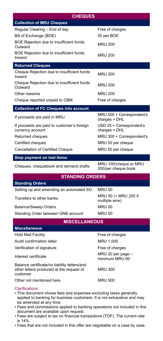| <b>CHEQUES</b>                                                                                       |                                              |  |
|------------------------------------------------------------------------------------------------------|----------------------------------------------|--|
| <b>Collection of MRU Cheques</b>                                                                     |                                              |  |
| Regular Clearing - End of day                                                                        | Free of charges                              |  |
| Bill of Exchange (BOE)                                                                               | 50 per BOE                                   |  |
| BOE Rejection due to insufficient funds<br>Outward                                                   | <b>MRU 200</b>                               |  |
| BOE Rejection due to insufficient funds<br>Inward                                                    | <b>MRU 200</b>                               |  |
| <b>Returned Cheques</b>                                                                              |                                              |  |
| Cheque Rejection due to insufficient funds<br>Inward                                                 | <b>MRU 200</b>                               |  |
| Cheque Rejection due to insufficient funds<br>Outward                                                | <b>MRU 200</b>                               |  |
| Other reasons                                                                                        | <b>MRU 200</b>                               |  |
| Cheque reported unpaid to CBM                                                                        | Free of charges                              |  |
| <b>Collection of FC Cheques into account</b>                                                         |                                              |  |
| If proceeds are paid in MRU                                                                          | MRU 500 + Correspondent's<br>charges + DHL   |  |
| If proceeds are paid to customer's foreign<br>currency account                                       | USD 25 + Correspondent's<br>charges + DHL    |  |
| Returned cheques                                                                                     | MRU 300 + Correspondent's                    |  |
| Certified cheques                                                                                    | MRU 50 per cheque                            |  |
| Cancellation of Certified Cheque                                                                     | MRU 50 per cheque                            |  |
| Stop payment on lost items                                                                           |                                              |  |
| Cheques, chequebook and demand drafts                                                                | MRU 100/cheque or MRU<br>200/per cheque book |  |
| <b>STANDING ORDERS</b>                                                                               |                                              |  |
| <b>Standing Orders</b>                                                                               |                                              |  |
| Setting up and amending an automated SO                                                              | <b>MRU 50</b>                                |  |
| Transfers to other banks                                                                             | MRU 50 (+ MRU 200 if<br>multiple wire)       |  |
| <b>Balance/Sweep Orders</b>                                                                          | <b>MRU 50</b>                                |  |
| Standing Order between QNB account                                                                   | <b>MRU 50</b>                                |  |
| <b>MISCELLANEOUS</b>                                                                                 |                                              |  |
| <b>Miscellaneous</b>                                                                                 |                                              |  |
| <b>Hold Mail Facility</b>                                                                            | Free of charges                              |  |
| Audit confirmation letter                                                                            | MRU 1,000                                    |  |
| Verification of signature                                                                            | Free of charges                              |  |
| Interest certificate                                                                                 | MRU 20 per page -<br>minimum MRU 60          |  |
| Balance certificate/no liability letters/and<br>other letters produced at the request of<br>customer | <b>MRU 300</b>                               |  |
| Other not mentioned here                                                                             | <b>MRU 500</b>                               |  |

Clarifications:

- This document shows fees and expenses excluding taxes generally applied to banking for business customers. It is not exhaustive and may be amended at any time.
- Fees and commissions applied to banking operations not included in this document are available upon request.
- Fees are subject to tax on financial transactions (TOF). The current rate is 14%.
- Fees that are not included in this offer are negotiable on a case by case.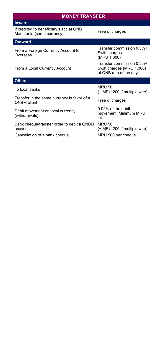| <b>MONEY TRANSFER</b>                                                 |                                                                                  |  |
|-----------------------------------------------------------------------|----------------------------------------------------------------------------------|--|
| <b>Inward</b>                                                         |                                                                                  |  |
| If credited to beneficiary's acc at QNB<br>Mauritania (same currency) | Free of charges                                                                  |  |
| Outward                                                               |                                                                                  |  |
| From a Foreign Currency Account to<br>Overseas                        | Transfer commission 0.3%+<br>Swift charges<br>(MRU 1,000)                        |  |
| From a Local Currency Account                                         | Transfer commission 0.3%+<br>Swift charges (MRU 1,000)<br>at QNB rate of the day |  |
| <b>Others</b>                                                         |                                                                                  |  |
| To local banks                                                        | <b>MRU 50</b><br>(+ MRU 200 if multiple wire)                                    |  |
| Transfer in the same currency in favor of a<br><b>ONBM</b> client     | Free of charges                                                                  |  |
| Debit movement on local currency<br>(withdrawals)                     | $0.02\%$ of the debit<br>movement. Minimum MRU<br>10                             |  |
| Bank cheque/transfer order to debit a QNBM<br>account                 | <b>MRU 50</b><br>(+ MRU 200 if multiple wire)                                    |  |
| Cancellation of a bank cheque                                         | MRU 500 per cheque                                                               |  |